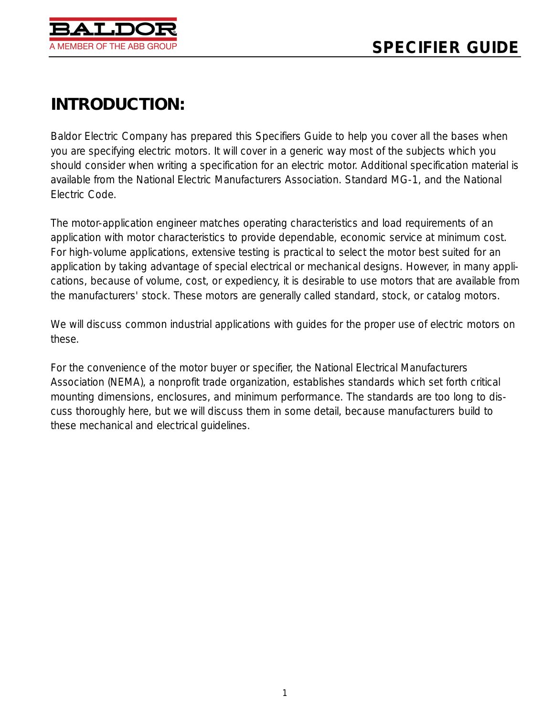# *INTRODUCTION:*

Baldor Electric Company has prepared this Specifiers Guide to help you cover all the bases when you are specifying electric motors. It will cover in a generic way most of the subjects which you should consider when writing a specification for an electric motor. Additional specification material is available from the National Electric Manufacturers Association. Standard MG-1, and the National Electric Code.

The motor-application engineer matches operating characteristics and load requirements of an application with motor characteristics to provide dependable, economic service at minimum cost. For high-volume applications, extensive testing is practical to select the motor best suited for an application by taking advantage of special electrical or mechanical designs. However, in many applications, because of volume, cost, or expediency, it is desirable to use motors that are available from the manufacturers' stock. These motors are generally called standard, stock, or catalog motors.

We will discuss common industrial applications with guides for the proper use of electric motors on these.

For the convenience of the motor buyer or specifier, the National Electrical Manufacturers Association (NEMA), a nonprofit trade organization, establishes standards which set forth critical mounting dimensions, enclosures, and minimum performance. The standards are too long to discuss thoroughly here, but we will discuss them in some detail, because manufacturers build to these mechanical and electrical guidelines.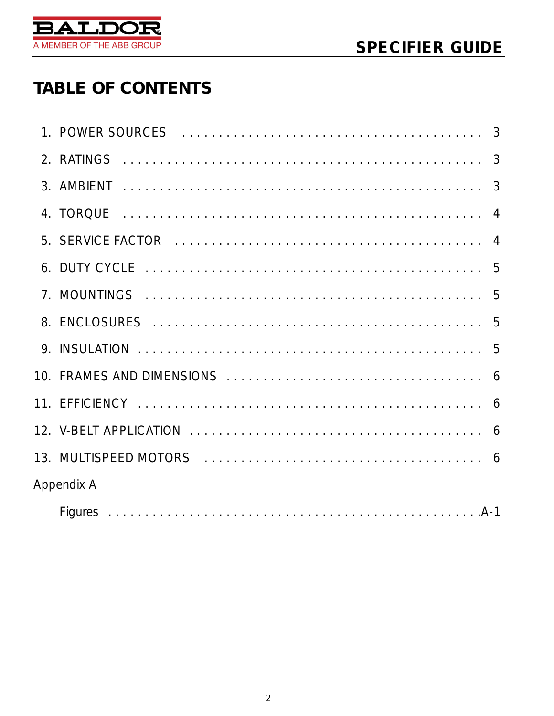

# **TABLE OF CONTENTS**

| Appendix A |  |
|------------|--|
|            |  |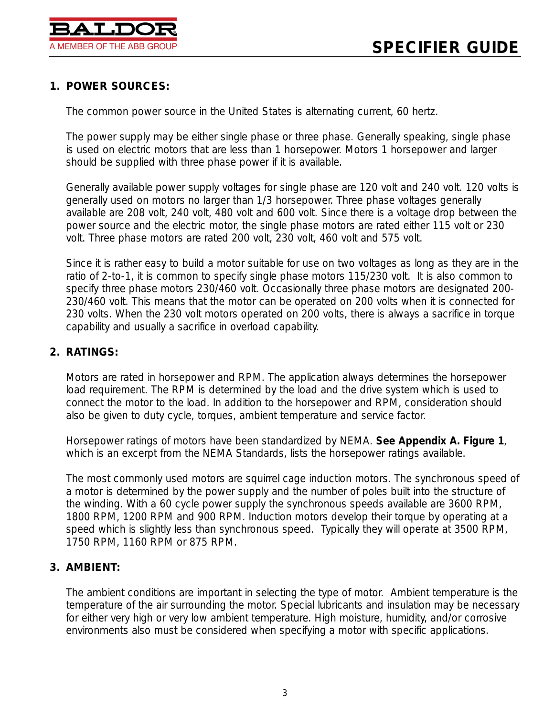

### **1. POWER SOURCES:**

The common power source in the United States is alternating current, 60 hertz.

The power supply may be either single phase or three phase. Generally speaking, single phase is used on electric motors that are less than 1 horsepower. Motors 1 horsepower and larger should be supplied with three phase power if it is available.

Generally available power supply voltages for single phase are 120 volt and 240 volt. 120 volts is generally used on motors no larger than 1/3 horsepower. Three phase voltages generally available are 208 volt, 240 volt, 480 volt and 600 volt. Since there is a voltage drop between the power source and the electric motor, the single phase motors are rated either 115 volt or 230 volt. Three phase motors are rated 200 volt, 230 volt, 460 volt and 575 volt.

Since it is rather easy to build a motor suitable for use on two voltages as long as they are in the ratio of 2-to-1, it is common to specify single phase motors 115/230 volt. It is also common to specify three phase motors 230/460 volt. Occasionally three phase motors are designated 200- 230/460 volt. This means that the motor can be operated on 200 volts when it is connected for 230 volts. When the 230 volt motors operated on 200 volts, there is always a sacrifice in torque capability and usually a sacrifice in overload capability.

#### **2. RATINGS:**

Motors are rated in horsepower and RPM. The application always determines the horsepower load requirement. The RPM is determined by the load and the drive system which is used to connect the motor to the load. In addition to the horsepower and RPM, consideration should also be given to duty cycle, torques, ambient temperature and service factor.

Horsepower ratings of motors have been standardized by NEMA. **See Appendix A. Figure 1**, which is an excerpt from the NEMA Standards, lists the horsepower ratings available.

The most commonly used motors are squirrel cage induction motors. The synchronous speed of a motor is determined by the power supply and the number of poles built into the structure of the winding. With a 60 cycle power supply the synchronous speeds available are 3600 RPM, 1800 RPM, 1200 RPM and 900 RPM. Induction motors develop their torque by operating at a speed which is slightly less than synchronous speed. Typically they will operate at 3500 RPM, 1750 RPM, 1160 RPM or 875 RPM.

#### **3. AMBIENT:**

The ambient conditions are important in selecting the type of motor. Ambient temperature is the temperature of the air surrounding the motor. Special lubricants and insulation may be necessary for either very high or very low ambient temperature. High moisture, humidity, and/or corrosive environments also must be considered when specifying a motor with specific applications.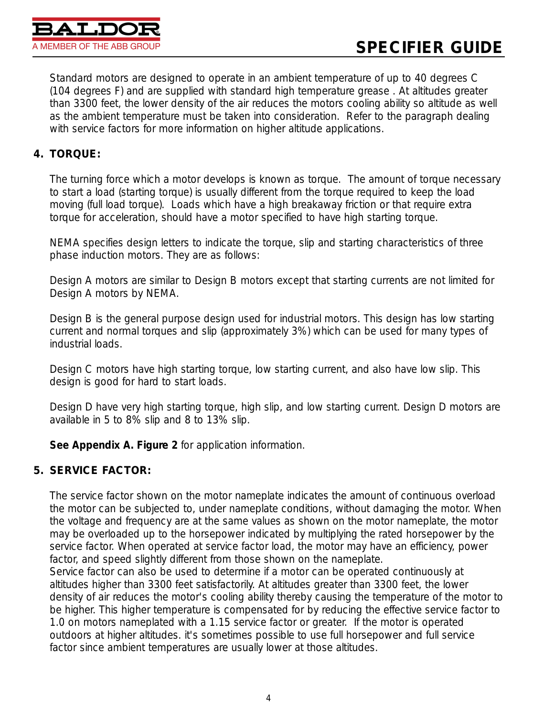Standard motors are designed to operate in an ambient temperature of up to 40 degrees C (104 degrees F) and are supplied with standard high temperature grease . At altitudes greater than 3300 feet, the lower density of the air reduces the motors cooling ability so altitude as well as the ambient temperature must be taken into consideration. Refer to the paragraph dealing with service factors for more information on higher altitude applications.

### **4. TORQUE:**

The turning force which a motor develops is known as torque. The amount of torque necessary to start a load (starting torque) is usually different from the torque required to keep the load moving (full load torque). Loads which have a high breakaway friction or that require extra torque for acceleration, should have a motor specified to have high starting torque.

NEMA specifies design letters to indicate the torque, slip and starting characteristics of three phase induction motors. They are as follows:

Design A motors are similar to Design B motors except that starting currents are not limited for Design A motors by NEMA.

Design B is the general purpose design used for industrial motors. This design has low starting current and normal torques and slip (approximately 3%) which can be used for many types of industrial loads.

Design C motors have high starting torque, low starting current, and also have low slip. This design is good for hard to start loads.

Design D have very high starting torque, high slip, and low starting current. Design D motors are available in 5 to 8% slip and 8 to 13% slip.

**See Appendix A. Figure 2** for application information.

### **5. SERVICE FACTOR:**

The service factor shown on the motor nameplate indicates the amount of continuous overload the motor can be subjected to, under nameplate conditions, without damaging the motor. When the voltage and frequency are at the same values as shown on the motor nameplate, the motor may be overloaded up to the horsepower indicated by multiplying the rated horsepower by the service factor. When operated at service factor load, the motor may have an efficiency, power factor, and speed slightly different from those shown on the nameplate.

Service factor can also be used to determine if a motor can be operated continuously at altitudes higher than 3300 feet satisfactorily. At altitudes greater than 3300 feet, the lower density of air reduces the motor's cooling ability thereby causing the temperature of the motor to be higher. This higher temperature is compensated for by reducing the effective service factor to 1.0 on motors nameplated with a 1.15 service factor or greater. If the motor is operated outdoors at higher altitudes. it's sometimes possible to use full horsepower and full service factor since ambient temperatures are usually lower at those altitudes.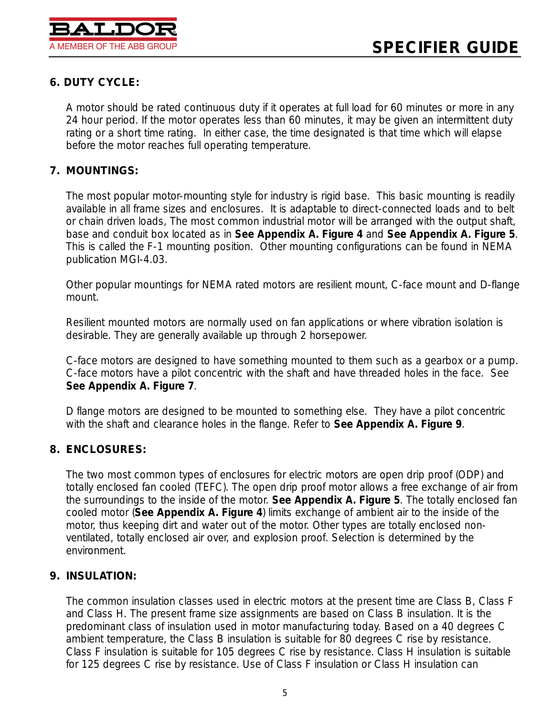

### **6. DUTY CYCLE:**

A motor should be rated continuous duty if it operates at full load for 60 minutes or more in any 24 hour period. If the motor operates less than 60 minutes, it may be given an intermittent duty rating or a short time rating. In either case, the time designated is that time which will elapse before the motor reaches full operating temperature.

#### **7. MOUNTINGS:**

The most popular motor-mounting style for industry is rigid base. This basic mounting is readily available in all frame sizes and enclosures. It is adaptable to direct-connected loads and to belt or chain driven loads, The most common industrial motor will be arranged with the output shaft, base and conduit box located as in **See Appendix A. Figure 4** and **See Appendix A. Figure 5**. This is called the F-1 mounting position. Other mounting configurations can be found in NEMA publication MGI-4.03.

Other popular mountings for NEMA rated motors are resilient mount, C-face mount and D-flange mount.

Resilient mounted motors are normally used on fan applications or where vibration isolation is desirable. They are generally available up through 2 horsepower.

C-face motors are designed to have something mounted to them such as a gearbox or a pump. C-face motors have a pilot concentric with the shaft and have threaded holes in the face. See **See Appendix A. Figure 7**.

D flange motors are designed to be mounted to something else. They have a pilot concentric with the shaft and clearance holes in the flange. Refer to **See Appendix A. Figure 9**.

#### **8. ENCLOSURES:**

The two most common types of enclosures for electric motors are open drip proof (ODP) and totally enclosed fan cooled (TEFC). The open drip proof motor allows a free exchange of air from the surroundings to the inside of the motor. **See Appendix A. Figure 5**. The totally enclosed fan cooled motor (**See Appendix A. Figure 4**) limits exchange of ambient air to the inside of the motor, thus keeping dirt and water out of the motor. Other types are totally enclosed nonventilated, totally enclosed air over, and explosion proof. Selection is determined by the environment.

#### **9. INSULATION:**

The common insulation classes used in electric motors at the present time are Class B, Class F and Class H. The present frame size assignments are based on Class B insulation. It is the predominant class of insulation used in motor manufacturing today. Based on a 40 degrees C ambient temperature, the Class B insulation is suitable for 80 degrees C rise by resistance. Class F insulation is suitable for 105 degrees C rise by resistance. Class H insulation is suitable for 125 degrees C rise by resistance. Use of Class F insulation or Class H insulation can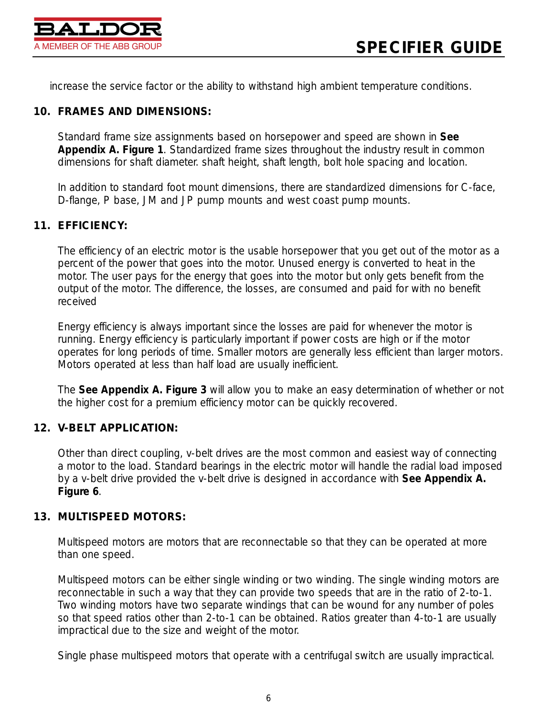

increase the service factor or the ability to withstand high ambient temperature conditions.

#### **10. FRAMES AND DIMENSIONS:**

Standard frame size assignments based on horsepower and speed are shown in **See Appendix A. Figure 1**. Standardized frame sizes throughout the industry result in common dimensions for shaft diameter. shaft height, shaft length, bolt hole spacing and location.

In addition to standard foot mount dimensions, there are standardized dimensions for C-face, D-flange, P base, JM and JP pump mounts and west coast pump mounts.

#### **11. EFFICIENCY:**

The efficiency of an electric motor is the usable horsepower that you get out of the motor as a percent of the power that goes into the motor. Unused energy is converted to heat in the motor. The user pays for the energy that goes into the motor but only gets benefit from the output of the motor. The difference, the losses, are consumed and paid for with no benefit received

Energy efficiency is always important since the losses are paid for whenever the motor is running. Energy efficiency is particularly important if power costs are high or if the motor operates for long periods of time. Smaller motors are generally less efficient than larger motors. Motors operated at less than half load are usually inefficient.

The **See Appendix A. Figure 3** will allow you to make an easy determination of whether or not the higher cost for a premium efficiency motor can be quickly recovered.

#### **12. V-BELT APPLICATION:**

Other than direct coupling, v-belt drives are the most common and easiest way of connecting a motor to the load. Standard bearings in the electric motor will handle the radial load imposed by a v-belt drive provided the v-belt drive is designed in accordance with **See Appendix A. Figure 6**.

#### **13. MULTISPEED MOTORS:**

Multispeed motors are motors that are reconnectable so that they can be operated at more than one speed.

Multispeed motors can be either single winding or two winding. The single winding motors are reconnectable in such a way that they can provide two speeds that are in the ratio of 2-to-1. Two winding motors have two separate windings that can be wound for any number of poles so that speed ratios other than 2-to-1 can be obtained. Ratios greater than 4-to-1 are usually impractical due to the size and weight of the motor.

Single phase multispeed motors that operate with a centrifugal switch are usually impractical.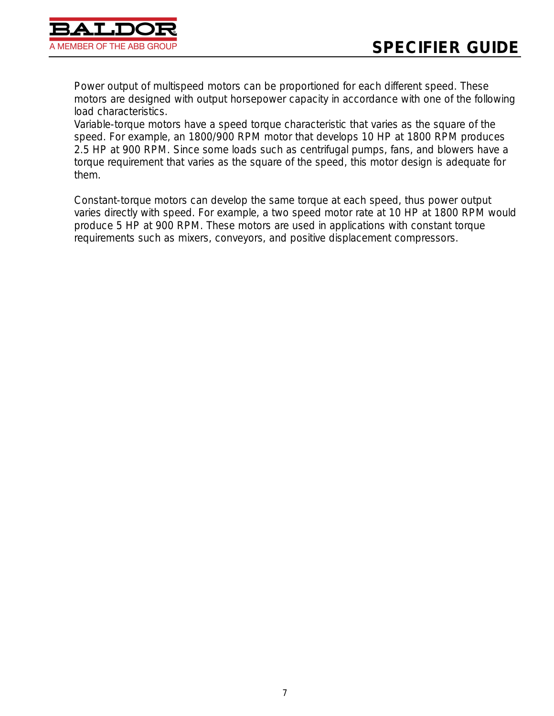

Power output of multispeed motors can be proportioned for each different speed. These motors are designed with output horsepower capacity in accordance with one of the following load characteristics.

Variable-torque motors have a speed torque characteristic that varies as the square of the speed. For example, an 1800/900 RPM motor that develops 10 HP at 1800 RPM produces 2.5 HP at 900 RPM. Since some loads such as centrifugal pumps, fans, and blowers have a torque requirement that varies as the square of the speed, this motor design is adequate for them.

Constant-torque motors can develop the same torque at each speed, thus power output varies directly with speed. For example, a two speed motor rate at 10 HP at 1800 RPM would produce 5 HP at 900 RPM. These motors are used in applications with constant torque requirements such as mixers, conveyors, and positive displacement compressors.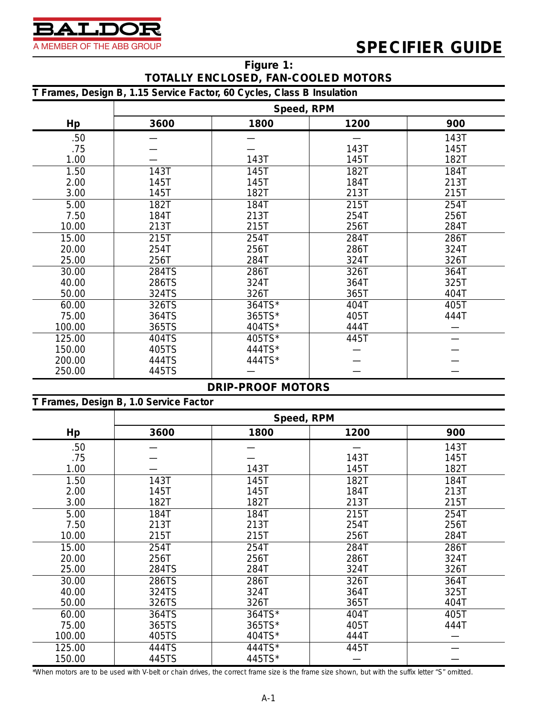

### **Figure 1: TOTALLY ENCLOSED, FAN-COOLED MOTORS**

|  |  |  |  |  | T Frames, Design B, 1.15 Service Factor, 60 Cycles, Class B Insulation |
|--|--|--|--|--|------------------------------------------------------------------------|
|--|--|--|--|--|------------------------------------------------------------------------|

|        | Speed, RPM |        |      |      |  |  |
|--------|------------|--------|------|------|--|--|
| Hp     | 3600       | 1800   | 1200 | 900  |  |  |
| .50    |            |        |      | 143T |  |  |
| .75    |            |        | 143T | 145T |  |  |
| 1.00   |            | 143T   | 145T | 182T |  |  |
| 1.50   | 143T       | 145T   | 182T | 184T |  |  |
| 2.00   | 145T       | 145T   | 184T | 213T |  |  |
| 3.00   | 145T       | 182T   | 213T | 215T |  |  |
| 5.00   | 182T       | 184T   | 215T | 254T |  |  |
| 7.50   | 184T       | 213T   | 254T | 256T |  |  |
| 10.00  | 213T       | 215T   | 256T | 284T |  |  |
| 15.00  | 215T       | 254T   | 284T | 286T |  |  |
| 20.00  | 254T       | 256T   | 286T | 324T |  |  |
| 25.00  | 256T       | 284T   | 324T | 326T |  |  |
| 30.00  | 284TS      | 286T   | 326T | 364T |  |  |
| 40.00  | 286TS      | 324T   | 364T | 325T |  |  |
| 50.00  | 324TS      | 326T   | 365T | 404T |  |  |
| 60.00  | 326TS      | 364TS* | 404T | 405T |  |  |
| 75.00  | 364TS      | 365TS* | 405T | 444T |  |  |
| 100.00 | 365TS      | 404TS* | 444T |      |  |  |
| 125.00 | 404TS      | 405TS* | 445T |      |  |  |
| 150.00 | 405TS      | 444TS* |      |      |  |  |
| 200.00 | 444TS      | 444TS* |      |      |  |  |
| 250.00 | 445TS      |        |      |      |  |  |

#### **DRIP-PROOF MOTORS**

| T Frames, Design B, 1.0 Service Factor |  |  |  |  |  |  |  |
|----------------------------------------|--|--|--|--|--|--|--|
|----------------------------------------|--|--|--|--|--|--|--|

|        | Speed, RPM |        |      |      |  |  |  |
|--------|------------|--------|------|------|--|--|--|
| Hp     | 3600       | 1800   | 1200 | 900  |  |  |  |
| .50    |            |        |      | 143T |  |  |  |
| .75    |            |        | 143T | 145T |  |  |  |
| 1.00   |            | 143T   | 145T | 182T |  |  |  |
| 1.50   | 143T       | 145T   | 182T | 184T |  |  |  |
| 2.00   | 145T       | 145T   | 184T | 213T |  |  |  |
| 3.00   | 182T       | 182T   | 213T | 215T |  |  |  |
| 5.00   | 184T       | 184T   | 215T | 254T |  |  |  |
| 7.50   | 213T       | 213T   | 254T | 256T |  |  |  |
| 10.00  | 215T       | 215T   | 256T | 284T |  |  |  |
| 15.00  | 254T       | 254T   | 284T | 286T |  |  |  |
| 20.00  | 256T       | 256T   | 286T | 324T |  |  |  |
| 25.00  | 284TS      | 284T   | 324T | 326T |  |  |  |
| 30.00  | 286TS      | 286T   | 326T | 364T |  |  |  |
| 40.00  | 324TS      | 324T   | 364T | 325T |  |  |  |
| 50.00  | 326TS      | 326T   | 365T | 404T |  |  |  |
| 60.00  | 364TS      | 364TS* | 404T | 405T |  |  |  |
| 75.00  | 365TS      | 365TS* | 405T | 444T |  |  |  |
| 100.00 | 405TS      | 404TS* | 444T |      |  |  |  |
| 125.00 | 444TS      | 444TS* | 445T |      |  |  |  |
| 150.00 | 445TS      | 445TS* |      |      |  |  |  |

\*When motors are to be used with V-belt or chain drives, the correct frame size is the frame size shown, but with the suffix letter "S" omitted.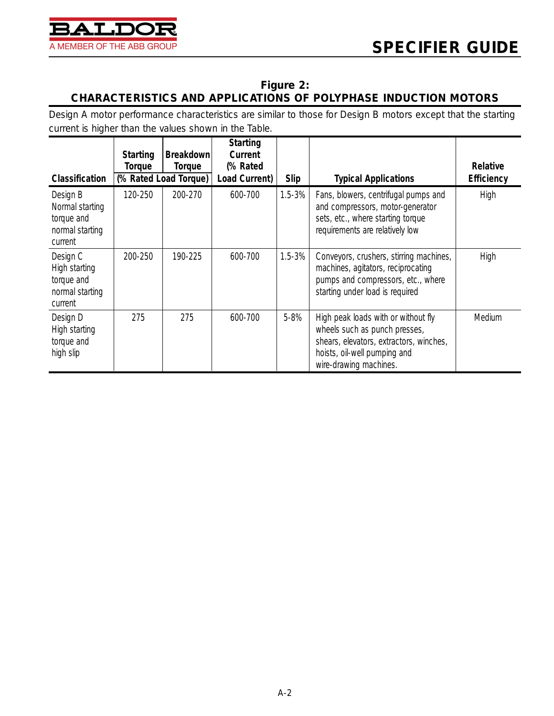

#### **Figure 2: CHARACTERISTICS AND APPLICATIONS OF POLYPHASE INDUCTION MOTORS**

Design A motor performance characteristics are similar to those for Design B motors except that the starting current is higher than the values shown in the Table.

| <b>Classification</b>                                                   | <b>Starting</b><br>Torque | Breakdown<br>Torque<br>(% Rated Load Torque) | <b>Starting</b><br>Current<br>(% Rated<br>Load Current) | <b>Slip</b> | <b>Typical Applications</b>                                                                                                                                               | <b>Relative</b><br><b>Efficiency</b> |
|-------------------------------------------------------------------------|---------------------------|----------------------------------------------|---------------------------------------------------------|-------------|---------------------------------------------------------------------------------------------------------------------------------------------------------------------------|--------------------------------------|
| Design B<br>Normal starting<br>torque and<br>normal starting<br>current | 120-250                   | 200-270                                      | 600-700                                                 | $1.5 - 3%$  | Fans, blowers, centrifugal pumps and<br>and compressors, motor-generator<br>sets, etc., where starting torque<br>requirements are relatively low                          | High                                 |
| Design C<br>High starting<br>torque and<br>normal starting<br>current   | 200-250                   | 190-225                                      | 600-700                                                 | $1.5 - 3%$  | Conveyors, crushers, stirring machines,<br>machines, agitators, reciprocating<br>pumps and compressors, etc., where<br>starting under load is required                    | High                                 |
| Design D<br>High starting<br>torque and<br>high slip                    | 275                       | 275                                          | 600-700                                                 | 5-8%        | High peak loads with or without fly<br>wheels such as punch presses,<br>shears, elevators, extractors, winches,<br>hoists, oil-well pumping and<br>wire-drawing machines. | Medium                               |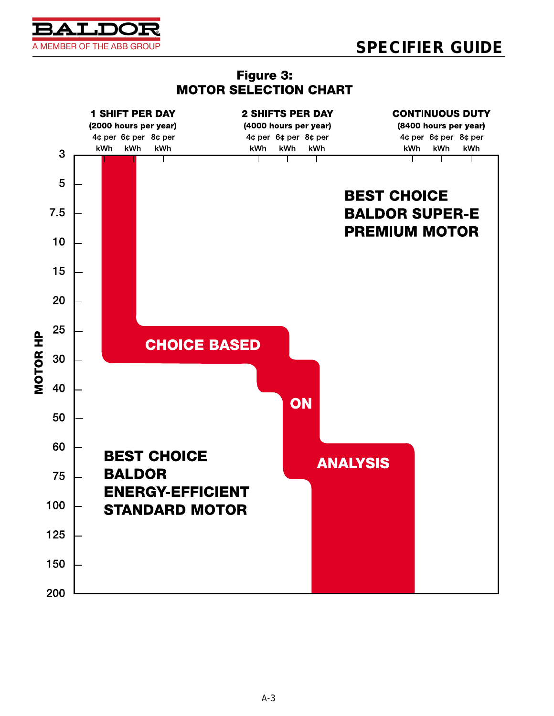**SPECIFIER GUIDE**



### Figure 3: **MOTOR SELECTION CHART**

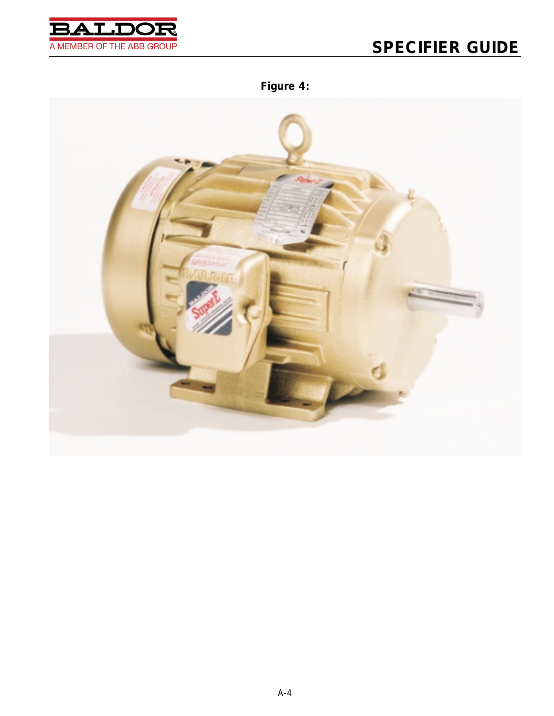

**Figure 4:**

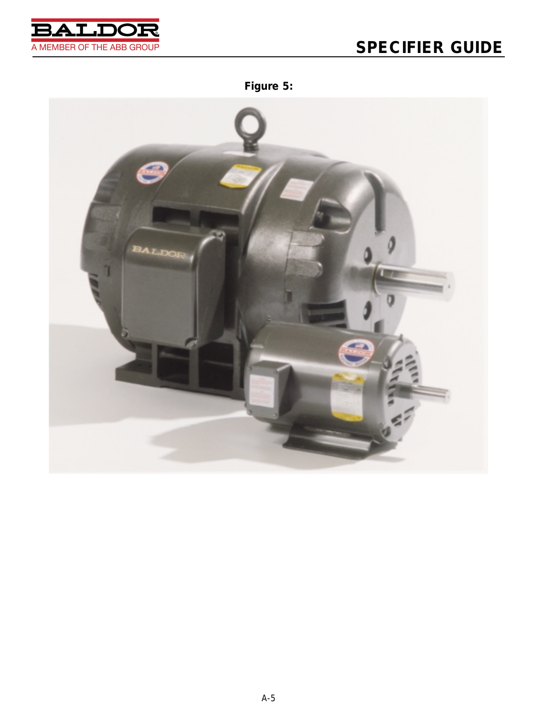

**Figure 5:**

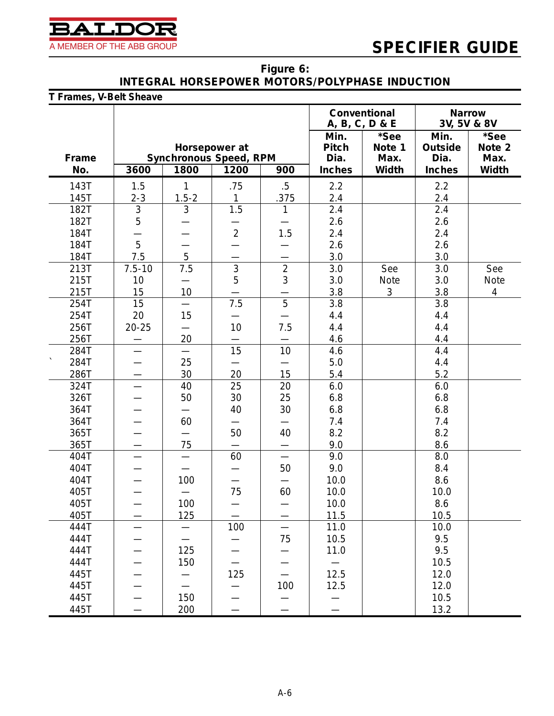

| Figure 6:                                      |
|------------------------------------------------|
| INTEGRAL HORSEPOWER MOTORS/POLYPHASE INDUCTION |

|  | T Frames, V-Belt Sheave |  |  |
|--|-------------------------|--|--|
|--|-------------------------|--|--|

|       |                |                          |                                                |                |                              | Conventional<br>A, B, C, D & E |                         | <b>Narrow</b><br>3V, 5V & 8V               |
|-------|----------------|--------------------------|------------------------------------------------|----------------|------------------------------|--------------------------------|-------------------------|--------------------------------------------|
| Frame |                |                          | Horsepower at<br><b>Synchronous Speed, RPM</b> |                | Min.<br><b>Pitch</b><br>Dia. | *See<br>Note 1<br>Max.         | Min.<br>Outside<br>Dia. | $\overline{\text{}}$ see<br>Note 2<br>Max. |
| No.   | 3600           | 1800                     | 1200                                           | 900            | <b>Inches</b>                | <b>Width</b>                   | <b>Inches</b>           | Width                                      |
| 143T  | 1.5            | 1                        | .75                                            | $.5\,$         | 2.2                          |                                | 2.2                     |                                            |
| 145T  | $2 - 3$        | $1.5 - 2$                | $\mathbf{1}$                                   | 375            | 2.4                          |                                | 2.4                     |                                            |
| 182T  | $\overline{3}$ | $\mathfrak{Z}$           | 1.5                                            | $\mathbf{1}$   | 2.4                          |                                | 2.4                     |                                            |
| 182T  | 5              |                          |                                                |                | 2.6                          |                                | 2.6                     |                                            |
| 184T  |                |                          | $\overline{2}$                                 | 1.5            | 2.4                          |                                | 2.4                     |                                            |
| 184T  | 5              |                          |                                                |                | 2.6                          |                                | 2.6                     |                                            |
| 184T  | 7.5            | 5                        |                                                |                | 3.0                          |                                | 3.0                     |                                            |
| 213T  | $7.5 - 10$     | 7.5                      | $\overline{3}$                                 | $\overline{2}$ | 3.0                          | See                            | 3.0                     | See                                        |
| 215T  | 10             |                          | 5                                              | $\overline{3}$ | 3.0                          | <b>Note</b>                    | 3.0                     | <b>Note</b>                                |
| 215T  | 15             | 10                       |                                                |                | 3.8                          | 3                              | 3.8                     | $\overline{4}$                             |
| 254T  | 15             |                          | 7.5                                            | 5              | 3.8                          |                                | 3.8                     |                                            |
| 254T  | 20             | 15                       |                                                |                | 4.4                          |                                | 4.4                     |                                            |
| 256T  | $20 - 25$      |                          | 10                                             | 7.5            | 4.4                          |                                | 4.4                     |                                            |
| 256T  |                | 20                       |                                                |                | 4.6                          |                                | 4.4                     |                                            |
| 284T  |                | $\overline{\phantom{0}}$ | $\overline{15}$                                | 10             | 4.6                          |                                | 4.4                     |                                            |
| 284T  |                | 25                       |                                                |                | 5.0                          |                                | 4.4                     |                                            |
| 286T  |                | 30                       | 20                                             | 15             | 5.4                          |                                | 5.2                     |                                            |
| 324T  |                | 40                       | 25                                             | 20             | 6.0                          |                                | 6.0                     |                                            |
| 326T  |                | 50                       | 30                                             | 25             | 6.8                          |                                | 6.8                     |                                            |
| 364T  |                |                          | 40                                             | 30             | 6.8                          |                                | 6.8                     |                                            |
| 364T  |                | 60                       |                                                |                | 7.4                          |                                | 7.4                     |                                            |
| 365T  |                |                          | 50                                             | 40             | 8.2                          |                                | 8.2                     |                                            |
| 365T  |                | 75                       |                                                |                | 9.0                          |                                | 8.6                     |                                            |
| 404T  |                | $\equiv$                 | 60                                             | $\equiv$       | 9.0                          |                                | 8.0                     |                                            |
| 404T  |                |                          |                                                | 50             | 9.0                          |                                | 8.4                     |                                            |
| 404T  |                | 100                      |                                                |                | 10.0                         |                                | 8.6                     |                                            |
| 405T  |                |                          | 75                                             | 60             | 10.0                         |                                | 10.0                    |                                            |
| 405T  |                | 100                      |                                                |                | 10.0                         |                                | 8.6                     |                                            |
| 405T  |                | 125                      |                                                |                | 11.5                         |                                | 10.5                    |                                            |
| 444T  |                |                          | 100                                            |                | 11.0                         |                                | 10.0                    |                                            |
| 444T  |                |                          |                                                | 75             | 10.5                         |                                | 9.5                     |                                            |
| 444T  |                | 125                      |                                                |                | 11.0                         |                                | 9.5                     |                                            |
| 444T  |                | 150                      |                                                |                |                              |                                | 10.5                    |                                            |
| 445T  |                |                          | 125                                            |                | 12.5                         |                                | 12.0                    |                                            |
| 445T  |                |                          |                                                | 100            | 12.5                         |                                | 12.0                    |                                            |
| 445T  |                | 150                      |                                                |                |                              |                                | 10.5                    |                                            |
| 445T  |                | 200                      |                                                |                |                              |                                | 13.2                    |                                            |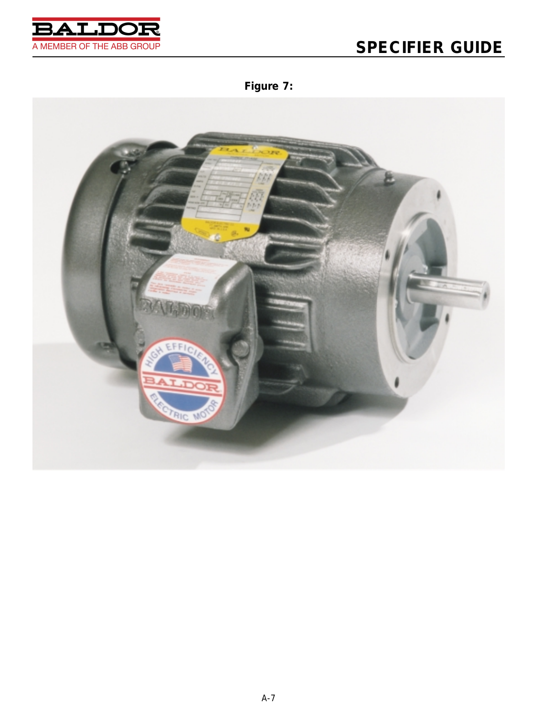

**Figure 7:**

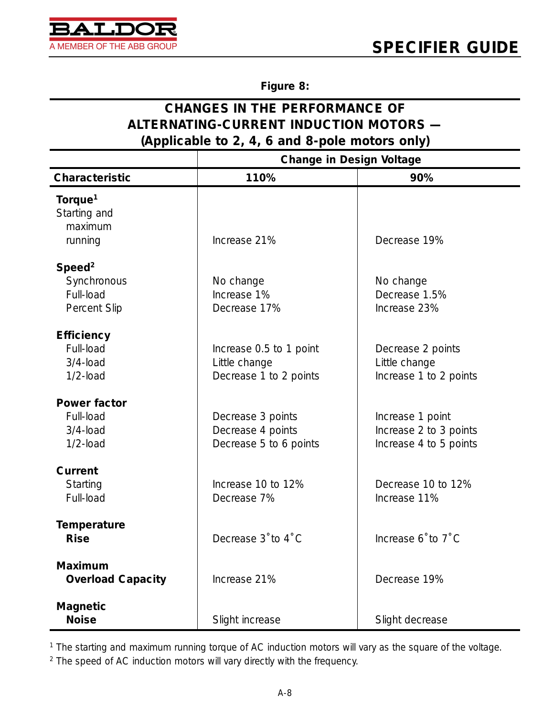

**Figure 8:**

### **CHANGES IN THE PERFORMANCE OF ALTERNATING-CURRENT INDUCTION MOTORS — (Applicable to 2, 4, 6 and 8-pole motors only)**

|                                                                | <b>Change in Design Voltage</b>                                    |                                                                      |  |  |  |  |
|----------------------------------------------------------------|--------------------------------------------------------------------|----------------------------------------------------------------------|--|--|--|--|
| <b>Characteristic</b>                                          | 110%                                                               | 90%                                                                  |  |  |  |  |
| Torque <sup>1</sup><br>Starting and<br>maximum<br>running      | Increase 21%                                                       | Decrease 19%                                                         |  |  |  |  |
| Speed <sup>2</sup><br>Synchronous<br>Full-load<br>Percent Slip | No change<br>Increase 1%<br>Decrease 17%                           | No change<br>Decrease 1.5%<br>Increase 23%                           |  |  |  |  |
| <b>Efficiency</b><br>Full-load<br>$3/4$ -load<br>$1/2$ -load   | Increase 0.5 to 1 point<br>Little change<br>Decrease 1 to 2 points | Decrease 2 points<br>Little change<br>Increase 1 to 2 points         |  |  |  |  |
| <b>Power factor</b><br>Full-load<br>$3/4$ -load<br>$1/2$ -load | Decrease 3 points<br>Decrease 4 points<br>Decrease 5 to 6 points   | Increase 1 point<br>Increase 2 to 3 points<br>Increase 4 to 5 points |  |  |  |  |
| <b>Current</b><br>Starting<br>Full-load                        | Increase 10 to 12%<br>Decrease 7%                                  | Decrease 10 to 12%<br>Increase 11%                                   |  |  |  |  |
| <b>Temperature</b><br><b>Rise</b>                              | Decrease 3' to 4° C                                                | Increase 6 to 7 C                                                    |  |  |  |  |
| <b>Maximum</b><br><b>Overload Capacity</b>                     | Increase 21%                                                       | Decrease 19%                                                         |  |  |  |  |
| <b>Magnetic</b><br><b>Noise</b>                                | Slight increase                                                    | Slight decrease                                                      |  |  |  |  |

<sup>1</sup> The starting and maximum running torque of AC induction motors will vary as the square of the voltage.

<sup>2</sup> The speed of AC induction motors will vary directly with the frequency.